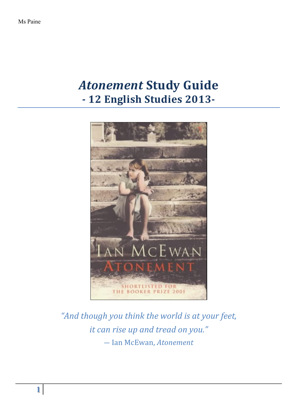# *Atonement* **Study Guide - 12 English Studies 2013-**



"And though you think the world is at your feet, *it can rise up and tread on you."* ― Ian McEwan, *Atonement*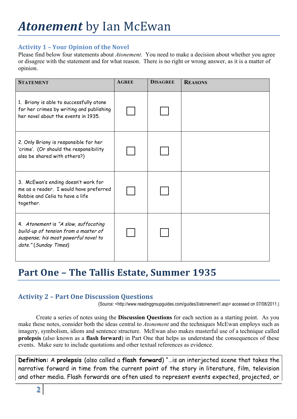## **Activity 1 – Your Opinion of the Novel**

Please find below four statements about *Atonement*. You need to make a decision about whether you agree or disagree with the statement and for what reason. There is no right or wrong answer, as it is a matter of opinion.

| <b>STATEMENT</b>                                                                                                                              | <b>AGREE</b> | <b>DISAGREE</b> | <b>REASONS</b> |
|-----------------------------------------------------------------------------------------------------------------------------------------------|--------------|-----------------|----------------|
| 1. Briony is able to successfully atone<br>for her crimes by writing and publishing<br>her novel about the events in 1935.                    |              |                 |                |
| 2. Only Briony is responsible for her<br>'crime'. (Or should the responsibility<br>also be shared with others?)                               |              |                 |                |
| 3. McEwan's ending doesn't work for<br>me as a reader. I would have preferred<br>Robbie and Celia to have a life<br>together.                 |              |                 |                |
| 4. Atonement is "A slow, suffocating<br>build-up of tension from a master of<br>suspense; his most powerful novel to<br>date." (Sunday Times) |              |                 |                |

# Part One - The Tallis Estate, Summer 1935

# **Activity 2 - Part One Discussion Ouestions**

(Source: <http://www.readinggroupguides.com/guides3/atonement1.asp> accessed on 07/08/2011.)

Create a series of notes using the **Discussion Questions** for each section as a starting point. As you make these notes, consider both the ideas central to *Atonement* and the techniques McEwan employs such as imagery, symbolism, idiom and sentence structure. McEwan also makes masterful use of a technique called **prolepsis** (also known as a **flash forward**) in Part One that helps us understand the consequences of these events. Make sure to include quotations and other textual references as evidence.

**Definition:** A **prolepsis** (also called a **flash forward**) "…is an interjected scene that takes the narrative forward in time from the current point of the story in literature, film, television and other media. Flash forwards are often used to represent events expected, projected, or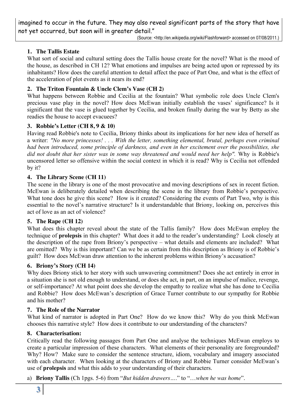imagined to occur in the future. They may also reveal significant parts of the story that have not yet occurred, but soon will in greater detail."

(Source: <http://en.wikipedia.org/wiki/Flashforward> accessed on 07/08/2011.)

### **1. The Tallis Estate**

What sort of social and cultural setting does the Tallis house create for the novel? What is the mood of the house, as described in CH 12? What emotions and impulses are being acted upon or repressed by its inhabitants? How does the careful attention to detail affect the pace of Part One, and what is the effect of the acceleration of plot events as it nears its end?

### **2. The Triton Fountain & Uncle Clem's Vase (CH 2)**

What happens between Robbie and Cecilia at the fountain? What symbolic role does Uncle Clem's precious vase play in the novel? How does McEwan initially establish the vases' significance? Is it significant that the vase is glued together by Cecilia, and broken finally during the war by Betty as she readies the house to accept evacuees?

#### **3. Robbie's Letter (CH 8, 9 & 10)**

Having read Robbie's note to Cecilia, Briony thinks about its implications for her new idea of herself as a writer: *"No more princesses! . . . With the letter, something elemental, brutal, perhaps even criminal had been introduced, some principle of darkness, and even in her excitement over the possibilities, she did not doubt that her sister was in some way threatened and would need her help".* Why is Robbie's uncensored letter so offensive within the social context in which it is read? Why is Cecilia not offended by it?

#### **4. The Library Scene (CH 11)**

The scene in the library is one of the most provocative and moving descriptions of sex in recent fiction. McEwan is deliberately detailed when describing the scene in the library from Robbie's perspective. What tone does he give this scene? How is it created? Considering the events of Part Two, why is this essential to the novel's narrative structure? Is it understandable that Briony, looking on, perceives this act of love as an act of violence?

#### **5. The Rape (CH 12)**

What does this chapter reveal about the state of the Tallis family? How does McEwan employ the technique of **prolepsis** in this chapter? What does it add to the reader's understanding? Look closely at the description of the rape from Briony's perspective – what details and elements are included? What are omitted? Why is this important? Can we be as certain from this description as Briony is of Robbie's guilt? How does McEwan draw attention to the inherent problems within Briony's accusation?

#### **6. Briony's Story (CH 14)**

Why does Briony stick to her story with such unwavering commitment? Does she act entirely in error in a situation she is not old enough to understand, or does she act, in part, on an impulse of malice, revenge, or self-importance? At what point does she develop the empathy to realize what she has done to Cecilia and Robbie? How does McEwan's description of Grace Turner contribute to our sympathy for Robbie and his mother?

#### **7. The Role of the Narrator**

What kind of narrator is adopted in Part One? How do we know this? Why do you think McEwan chooses this narrative style? How does it contribute to our understanding of the characters?

#### **8. Characterisation:**

Critically read the following passages from Part One and analyse the techniques McEwan employs to create a particular impression of these characters. What elements of their personality are foregrounded? Why? How? Make sure to consider the sentence structure, idiom, vocabulary and imagery associated with each character. When looking at the characters of Briony and Robbie Turner consider McEwan's use of **prolepsis** and what this adds to your understanding of their characters.

a) **Briony Tallis** (Ch 1pgs. 5-6) from "*But hidden drawers…*." to "…*when he was home*".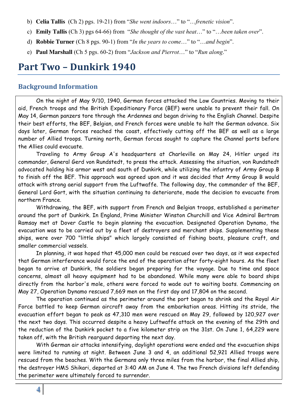- b) **Celia Tallis** (Ch 2) pgs. 19-21) from "*She went indoors*…" to "…*frenetic vision*".
- c) **Emily Tallis** (Ch 3) pgs 64-66) from "*She thought of the vast heat*…" to "…*been taken over*".
- d) **Robbie Turner** (Ch 8 pgs. 90-1) from "*In the years to come*…" to "…*and begin*".
- e) **Paul Marshall** (Ch 5 pgs. 60-2) from "*Jackson and Pierrot*…" to "*Run along*."

# **Part Two – Dunkirk 1940**

## **Background Information**

On the night of May 9/10, 1940, German forces attacked the Low Countries. Moving to their aid, French troops and the British Expeditionary Force (BEF) were unable to prevent their fall. On May 14, German panzers tore through the Ardennes and began driving to the English Channel. Despite their best efforts, the BEF, Belgian, and French forces were unable to halt the German advance. Six days later, German forces reached the coast, effectively cutting off the BEF as well as a large number of Allied troops. Turning north, German forces sought to capture the Channel ports before the Allies could evacuate.

Traveling to Army Group A's headquarters at Charleville on May 24, Hitler urged its commander, General Gerd von Rundstedt, to press the attack. Assessing the situation, von Rundstedt advocated holding his armor west and south of Dunkirk, while utilizing the infantry of Army Group B to finish off the BEF. This approach was agreed upon and it was decided that Army Group B would attack with strong aerial support from the Luftwaffe. The following day, the commander of the BEF, General Lord Gort, with the situation continuing to deteriorate, made the decision to evacuate from northern France.

Withdrawing, the BEF, with support from French and Belgian troops, established a perimeter around the port of Dunkirk. In England, Prime Minister Winston Churchill and Vice Admiral Bertram Ramsay met at Dover Castle to begin planning the evacuation. Designated Operation Dynamo, the evacuation was to be carried out by a fleet of destroyers and merchant ships. Supplementing these ships, were over 700 "little ships" which largely consisted of fishing boats, pleasure craft, and smaller commercial vessels.

In planning, it was hoped that 45,000 men could be rescued over two days, as it was expected that German interference would force the end of the operation after forty-eight hours. As the fleet began to arrive at Dunkirk, the soldiers began preparing for the voyage. Due to time and space concerns, almost all heavy equipment had to be abandoned. While many were able to board ships directly from the harbor's mole, others were forced to wade out to waiting boats. Commencing on May 27, Operation Dynamo rescued 7,669 men on the first day and 17,804 on the second.

The operation continued as the perimeter around the port began to shrink and the Royal Air Force battled to keep German aircraft away from the embarkation areas. Hitting its stride, the evacuation effort began to peak as 47,310 men were rescued on May 29, followed by 120,927 over the next two days. This occurred despite a heavy Luftwaffe attack on the evening of the 29th and the reduction of the Dunkirk pocket to a five kilometer strip on the 31st. On June 1, 64,229 were taken off, with the British rearguard departing the next day.

With German air attacks intensifying, daylight operations were ended and the evacuation ships were limited to running at night. Between June 3 and 4, an additional 52,921 Allied troops were rescued from the beaches. With the Germans only three miles from the harbor, the final Allied ship, the destroyer HMS Shikari, departed at 3:40 AM on June 4. The two French divisions left defending the perimeter were ultimately forced to surrender.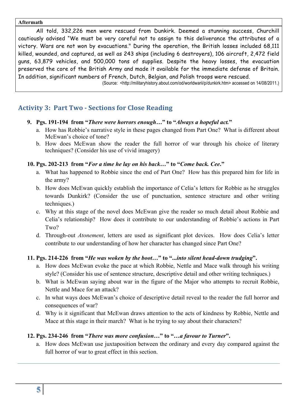#### **Aftermath**

All told, 332,226 men were rescued from Dunkirk. Deemed a stunning success, Churchill cautiously advised "We must be very careful not to assign to this deliverance the attributes of a victory. Wars are not won by evacuations." During the operation, the British losses included 68,111 killed, wounded, and captured, as well as 243 ships (including 6 destroyers), 106 aircraft, 2,472 field guns, 63,879 vehicles, and 500,000 tons of supplies. Despite the heavy losses, the evacuation preserved the core of the British Army and made it available for the immediate defense of Britain. In addition, significant numbers of French, Dutch, Belgian, and Polish troops were rescued.

(Source: <http://militaryhistory.about.com/od/worldwarii/p/dunkirk.htm> accessed on 14/08/2011.)

# **Activity 3: Part Two - Sections for Close Reading**

- **9. Pgs. 191-194 from "***There were horrors enough***…" to "***Always a hopeful act.***"**
	- a. How has Robbie's narrative style in these pages changed from Part One? What is different about McEwan's choice of tone?
	- b. How does McEwan show the reader the full horror of war through his choice of literary techniques? (Consider his use of vivid imagery)

#### **10. Pgs. 202-213 from "***For a time he lay on his back…***" to "***Come back. Cee***."**

- a. What has happened to Robbie since the end of Part One? How has this prepared him for life in the army?
- b. How does McEwan quickly establish the importance of Celia's letters for Robbie as he struggles towards Dunkirk? (Consider the use of punctuation, sentence structure and other writing techniques.)
- c. Why at this stage of the novel does McEwan give the reader so much detail about Robbie and Celia's relationship? How does it contribute to our understanding of Robbie's actions in Part Two?
- d. Through-out *Atonement*, letters are used as significant plot devices. How does Celia's letter contribute to our understanding of how her character has changed since Part One?

### **11. Pgs. 214-226 from "***He was woken by the boot…***" to "...***into silent head-down trudging***".**

- a. How does McEwan evoke the pace at which Robbie, Nettle and Mace walk through his writing style? (Consider his use of sentence structure, descriptive detail and other writing techniques.)
- b. What is McEwan saying about war in the figure of the Major who attempts to recruit Robbie, Nettle and Mace for an attack?
- c. In what ways does McEwan's choice of descriptive detail reveal to the reader the full horror and consequences of war?
- d. Why is it significant that McEwan draws attention to the acts of kindness by Robbie, Nettle and Mace at this stage in their march? What is he trying to say about their characters?

### **12. Pgs. 234-246 from "***There was more confusion***…" to "…***a favour to Turner***".**

a. How does McEwan use juxtaposition between the ordinary and every day compared against the full horror of war to great effect in this section.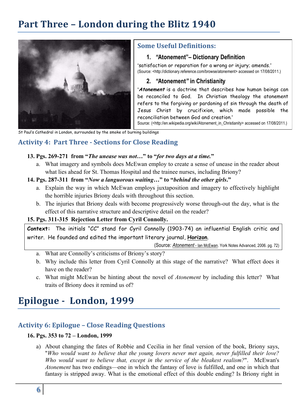# **Part Three - London during the Blitz 1940**



## **Some Useful Definitions:**

### **1.** *"***Atonement"– Dictionary Definition**

"satisfaction or reparation for a wrong or injury; amends." (Source: <http://dictionary.reference.com/browse/atonement> accessed on 17/08/2011.)

### **2.** *"***Atonement***"* **in Christianity**

"**Atonement** is a doctrine that describes how human beings can be reconciled to God. In Christian theology the atonement refers to the forgiving or pardoning of sin through the death of Jesus Christ by crucifixion, which made possible the reconciliation between God and creation."

Source: (<http://en.wikipedia.org/wiki/Atonement\_in\_Christianity> accessed on 17/08/2011.)

St Paul's Cathedral in London, surrounded by the smoke of burning buildings

# **Activity 4: Part Three - Sections for Close Reading**

#### **13. Pgs. 269-271 from "***The unease was not***…" to "***for two days at a time.***"**

a. What imagery and symbols does McEwan employ to create a sense of unease in the reader about what lies ahead for St. Thomas Hospital and the trainee nurses, including Briony?

#### **14. Pgs. 287-311 from "***Now a languorous waiting…***" to "***behind the other girls***."**

- a. Explain the way in which McEwan employs juxtaposition and imagery to effectively highlight the horrible injuries Briony deals with throughout this section.
- b. The injuries that Briony deals with become progressively worse through-out the day, what is the effect of this narrative structure and descriptive detail on the reader?

### **15. Pgs. 311-315 Rejection Letter from Cyril Connolly.**

**Context:** The initials "CC" stand for Cyril Connolly (1903-74) an influential English critic and writer. He founded and edited the important literary journal, **Horizon**.

(Source: *Atonement* - Ian McEwan. York Notes Advanced, 2006. pg. 72)

- a. What are Connolly's criticisms of Briony's story?
- b. Why include this letter from Cyril Connolly at this stage of the narrative? What effect does it have on the reader?
- c. What might McEwan be hinting about the novel of *Atonement* by including this letter? What traits of Briony does it remind us of?

# Epilogue - London, 1999

# **Activity 6: Epilogue – Close Reading Questions**

# **16. Pgs. 353 to 72 – London, 1999**

a) About changing the fates of Robbie and Cecilia in her final version of the book, Briony says, "*Who would want to believe that the young lovers never met again, never fulfilled their love? Who would want to believe that, except in the service of the bleakest realism?*". McEwan's *Atonement* has two endings—one in which the fantasy of love is fulfilled, and one in which that fantasy is stripped away. What is the emotional effect of this double ending? Is Briony right in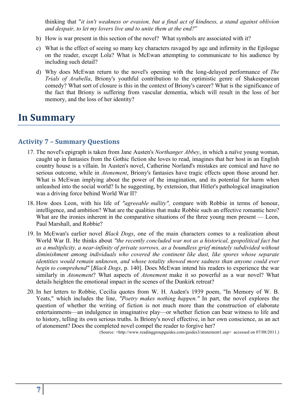thinking that "*it isn't weakness or evasion, but a final act of kindness, a stand against oblivion and despair, to let my lovers live and to unite them at the end?*"

- b) How is war present in this section of the novel? What symbols are associated with it?
- c) What is the effect of seeing so many key characters ravaged by age and infirmity in the Epilogue on the reader, except Lola? What is McEwan attempting to communicate to his audience by including such detail?
- d) Why does McEwan return to the novel's opening with the long-delayed performance of *The Trials of Arabella*, Briony's youthful contribution to the optimistic genre of Shakespearean comedy? What sort of closure is this in the context of Briony's career? What is the significance of the fact that Briony is suffering from vascular dementia, which will result in the loss of her memory, and the loss of her identity?

# **In Summary**

# **Activity 7 – Summary Questions**

- 17. The novel's epigraph is taken from Jane Austen's *Northanger Abbey*, in which a naïve young woman, caught up in fantasies from the Gothic fiction she loves to read, imagines that her host in an English country house is a villain. In Austen's novel, Catherine Norland's mistakes are comical and have no serious outcome, while in *Atonement*, Briony's fantasies have tragic effects upon those around her. What is McEwan implying about the power of the imagination, and its potential for harm when unleashed into the social world? Is he suggesting, by extension, that Hitler's pathological imagination was a driving force behind World War II?
- 18. How does Leon, with his life of *"agreeable nullity",* compare with Robbie in terms of honour, intelligence, and ambition? What are the qualities that make Robbie such an effective romantic hero? What are the ironies inherent in the comparative situations of the three young men present — Leon, Paul Marshall, and Robbie?
- 19. In McEwan's earlier novel *Black Dogs*, one of the main characters comes to a realization about World War II. He thinks about *"the recently concluded war not as a historical, geopolitical fact but as a multiplicity, a near-infinity of private sorrows, as a boundless grief minutely subdivided without diminishment among individuals who covered the continent like dust, like spores whose separate identities would remain unknown, and whose totality showed more sadness than anyone could ever begin to comprehend"* [*Black Dogs*, p. 140]. Does McEwan intend his readers to experience the war similarly in *Atonement*? What aspects of *Atonement* make it so powerful as a war novel? What details heighten the emotional impact in the scenes of the Dunkirk retreat?
- 20. In her letters to Robbie, Cecilia quotes from W. H. Auden's 1939 poem, "In Memory of W. B. Yeats," which includes the line, *"Poetry makes nothing happen."* In part, the novel explores the question of whether the writing of fiction is not much more than the construction of elaborate entertainments—an indulgence in imaginative play—or whether fiction can bear witness to life and to history, telling its own serious truths. Is Briony's novel effective, in her own conscience, as an act of atonement? Does the completed novel compel the reader to forgive her?

(Source: <http://www.readinggroupguides.com/guides3/atonement1.asp> accessed on 07/08/2011.)